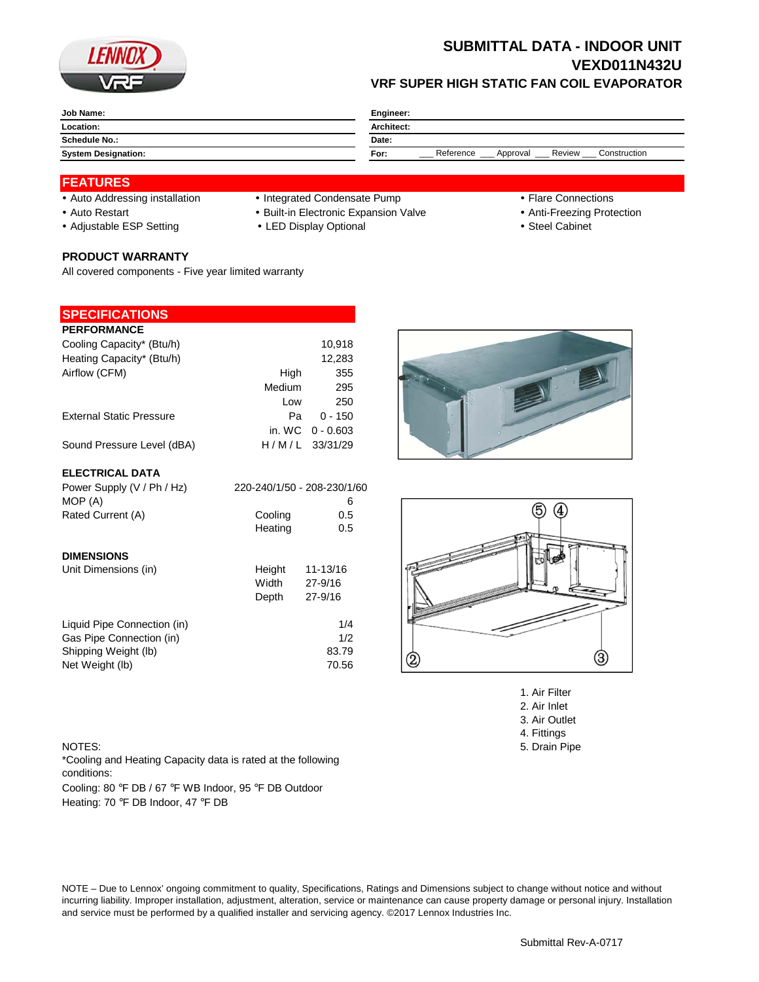

## **SUBMITTAL DATA - INDOOR UNIT VEXD011N432U VRF SUPER HIGH STATIC FAN COIL EVAPORATOR**

| Job Name:                  | Engineer:                                               |  |  |
|----------------------------|---------------------------------------------------------|--|--|
| Location:                  | Architect:                                              |  |  |
| <b>Schedule No.:</b>       | Date:                                                   |  |  |
| <b>System Designation:</b> | Reference<br>Review<br>Construction<br>For:<br>Approval |  |  |

#### **FEATURES**

- Auto Addressing installation Integrated Condensate Pump Flare Connections
- Auto Restart **Built-in Electronic Expansion Valve Anti-Freezing Protection** Anti-Freezing Protection
- Adjustable ESP Setting **CHACK CHACK CHACK CHACK CHACK CHACK Steel Cabinet Steel Cabinet**

# **PRODUCT WARRANTY**

All covered components - Five year limited warranty

### **SPECIFICATIONS**

| <b>PERFORMANCE</b>              |        |                    |
|---------------------------------|--------|--------------------|
|                                 |        |                    |
| Cooling Capacity* (Btu/h)       |        | 10,918             |
| Heating Capacity* (Btu/h)       |        | 12,283             |
| Airflow (CFM)                   | High   | 355                |
|                                 | Medium | 295                |
|                                 | Low    | 250                |
| <b>External Static Pressure</b> | Pa     | $0 - 150$          |
|                                 |        | in. WC $0 - 0.603$ |
| Sound Pressure Level (dBA)      |        | $H/M/L$ 33/31/29   |
|                                 |        |                    |

#### **ELECTRICAL DATA**

| Power Supply (V / Ph / Hz)  |         | 220-240/1/50 - 208-230/1/60 |
|-----------------------------|---------|-----------------------------|
| MOP (A)                     |         | 6                           |
| Rated Current (A)           | Cooling | 0.5                         |
|                             | Heating | 0.5                         |
| <b>DIMENSIONS</b>           |         |                             |
| Unit Dimensions (in)        | Height  | 11-13/16                    |
|                             | Width   | 27-9/16                     |
|                             | Depth   | 27-9/16                     |
| Liquid Pipe Connection (in) |         | 1/4                         |
| Gas Pipe Connection (in)    |         | 1/2                         |
| Shipping Weight (lb)        |         | 83.79                       |
| Net Weight (lb)             |         | 70.56                       |





1. Air Filter 2. Air Inlet 3. Air Outlet 4. Fittings NOTES: 5. Drain Pipe

Cooling: 80 °F DB / 67 °F WB Indoor, 95 °F DB Outdoor Heating: 70 °F DB Indoor, 47 °F DB \*Cooling and Heating Capacity data is rated at the following conditions:

NOTE – Due to Lennox' ongoing commitment to quality, Specifications, Ratings and Dimensions subject to change without notice and without incurring liability. Improper installation, adjustment, alteration, service or maintenance can cause property damage or personal injury. Installation and service must be performed by a qualified installer and servicing agency. ©2017 Lennox Industries Inc.